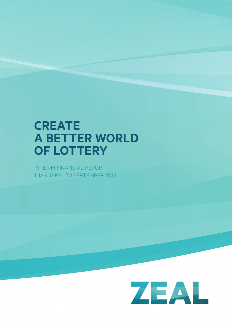# **create a Better worlD OF LOTTERY**

INTERIM FINANCIAL REPORT 1 JANUARY – 30 SEPTEMBER 2015

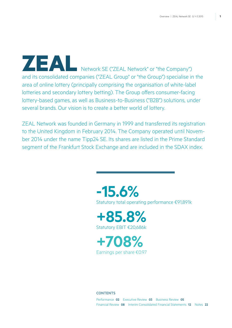Network SE ("ZEAL Network" or "the Company") and its consolidated companies ("ZEAL Group" or "the Group") specialise in the area of online lottery (principally comprising the organisation of white-label lotteries and secondary lottery betting). The Group offers consumer-facing lottery-based games, as well as Business-to-Business ("B2B") solutions, under several brands. Our vision is to create a better world of lottery.

ZEAL Network was founded in Germany in 1999 and transferred its registration to the United Kingdom in February 2014. The Company operated until November 2014 under the name Tipp24 SE. Its shares are listed in the Prime Standard segment of the Frankfurt Stock Exchange and are included in the SDAX index.

> **-15.6%** Statutory total operating performance €91,891k

**+85.8%** Statutory EBIT €20,686k

**+708%** Earnings per share €0.97

### **CONTENTS**

Performance **02** Executive Review **03** Business Review **05** Financial Review **08** Interim Consolidated Financial Statements **12** Notes **22**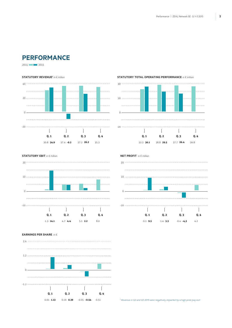# **Performance**

2014 2015

#### **STATUTORY REVENUE<sup>1</sup> in € million**



#### **STATUTORY TOTAL OPERATING PERFORMANCE** in € million



**STATUTORY EBIT** in € million





### **Earnings per share** in �



<sup>1</sup> Revenue in Q2 and Q3 2015 were negatively impacted by a high prize pay-out.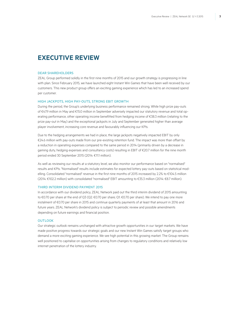# **Executive Review**

#### Dear Shareholders

ZEAL Group performed solidly in the first nine months of 2015 and our growth strategy is progressing in line with plan. Since February 2015, we have launched eight Instant Win Games that have been well received by our customers. This new product group offers an exciting gaming experience which has led to an increased spend per customer.

### HIGH JACKPOTS, HIGH PAY-OUTS, STRONG EBIT GROWTH

During the period, the Group's underlying business performance remained strong. While high prize pay-outs of €47.9 million in May and €15.0 million in September adversely impacted our statutory revenue and total operating performance, other operating income benefitted from hedging income of €38.3 million (relating to the prize pay-out in May) and the exceptional jackpots in July and September generated higher than average player involvement, increasing core revenue and favourably influencing our KPIs.

Due to the hedging arrangements we had in place, the large jackpots negatively impacted EBIT by only €24.6 million with pay-outs made from our pre-existing retention fund. The impact was more than offset by a reduction in operating expenses compared to the same period in 2014 (primarily driven by a decrease in gaming duty, hedging expenses and consultancy costs) resulting in EBIT of €20.7 million for the nine month period ended 30 September 2015 (2014: €11.1 million).

As well as reviewing our results at a statutory level, we also monitor our performance based on "normalised" results and KPIs. "Normalised" results include estimates for expected lottery pay-outs based on statistical modelling. Consolidated "normalised" revenue in the first nine months of 2015 increased by 2.2% to €104.5 million (2014: €102.2 million) with consolidated "normalised" EBIT amounting to €35.3 million (2014: €8.7 million).

### THIRD INTERIM DIVIDEND PAYMENT 2015

In accordance with our dividend policy, ZEAL Network paid out the third interim dividend of 2015 amounting to €0.70 per share at the end of Q3 (Q2: €0.70 per share; Q1: €0.70 per share). We intend to pay one more instalment of €0.70 per share in 2015 and continue quarterly payments of at least that amount in 2016 and future years. ZEAL Network's dividend policy is subject to periodic review and possible amendments depending on future earnings and financial position.

#### OUTLOOK

Our strategic outlook remains unchanged with attractive growth opportunities in our target markets. We have made positive progress towards our strategic goals and our new Instant Win Games satisfy target groups who demand a more exciting gaming experience. We see high potential in this growing market. The Group remains well positioned to capitalise on opportunities arising from changes to regulatory conditions and relatively low internet penetration of the lottery industry.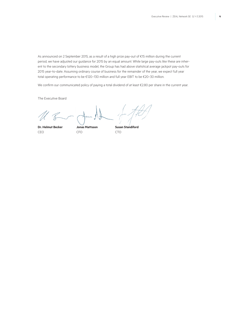As announced on 2 September 2015, as a result of a high prize pay-out of €15 million during the current period, we have adjusted our guidance for 2015 by an equal amount. While large pay-outs like these are inherent to the secondary lottery business model, the Group has had above statistical average jackpot pay-outs for 2015 year-to-date. Assuming ordinary course of business for the remainder of the year, we expect full year total operating performance to be €120–130 million and full year EBIT to be €20–30 million.

We confirm our communicated policy of paying a total dividend of at least €2.80 per share in the current year.

The Executive Board

CEO CFO CTO

**Dr. Helmut Becker Jonas Mattsson Susan Standiford**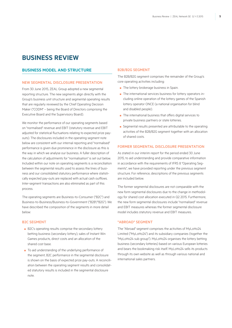# **Business Review**

### **Business Model and Structure**

### NEW SEGMENTAL DISCLOSURE PRESENTATION

From 30 June 2015, ZEAL Group adopted a new segmental reporting structure. The new segments align directly with the Group's business unit structure and segmental operating results that are regularly reviewed by the Chief Operating Decision Maker ("CODM" – being the Board of Directors comprising the Executive Board and the Supervisory Board).

We monitor the performance of our operating segments based on "normalised" revenue and EBIT (statutory revenue and EBIT adjusted for statistical fluctuations relating to expected prize payouts). The disclosures included in the operating segment note below are consistent with our internal reporting and "normalised" performance is given due prominence in the disclosure as this is the way in which we analyse our business. A fuller description of the calculation of adjustments for "normalisation" is set out below. Included within our note on operating segments is a reconciliation between the segmental results used to assess the lines of business and our consolidated statutory performance where statistically expected pay-outs are replaced with actual cash outflows. Inter-segment transactions are also eliminated as part of this process.

The operating segments are Business-to-Consumer ("B2C") and Business-to-Business/Business-to-Government ("B2B"/"B2G"). We have described the composition of the segments in more detail below:

### **B2C SEGMENT**

- B2C's operating results comprise the secondary lottery betting business (secondary lottery), sales of Instant Win Games products, direct costs and an allocation of the shared cost base.
- To aid understanding of the underlying performance of the segment, B2C performance in the segmental disclosure is shown on the basis of expected prize pay-outs. A reconciliation between the operating segment results and consolidated statutory results is included in the segmental disclosure note.

### B2B/B2G segment

The B2B/B2G segment comprises the remainder of the Group's core operating activities including:

- The lottery brokerage business in Spain.
- The international services business for lottery operators including online operation of the lottery games of the Spanish lottery operator ONCE (a national organisation for blind and disabled people).
- The international business that offers digital services to private business partners or state lotteries.
- Segmental results presented are attributable to the operating activities of the B2B/B2G segment together with an allocation of shared costs.

### FORMER SEGMENTAL DISCLOSURE PRESENTATION

As stated in our interim report for the period ended 30 June 2015, to aid understanding and provide comparative information in accordance with the requirements of IFRS 8 "Operating Segments", we have provided reporting under the previous segment structure. For reference, descriptions of the previous segments are included below.

The former segmental disclosures are not comparable with the new form segmental disclosures due to the change in methodology for shared cost allocation executed in Q2 2015. Furthermore, the new form segmental disclosures include "normalised" revenue and EBIT measures whereas the former segmental disclosure model includes statutory revenue and EBIT measures.

### "ABROAD" segment

The "Abroad" segment comprises the activities of MyLotto24 Limited ("MyLotto24") and its subsidiary companies (together the "MyLotto24 sub group"). MyLotto24 organises the lottery betting business (secondary lotteries) based on various European lotteries and bears the bookmaking risk itself. MyLotto24 sells its products through its own website as well as through various national and international sales partners.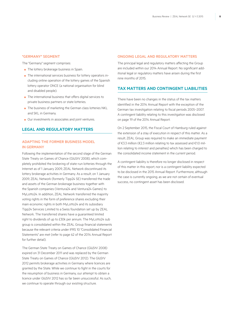#### "GERMANY" segment

The "Germany" segment comprises:

- The lottery brokerage business in Spain.
- The international services business for lottery operators including online operation of the lottery games of the Spanish lottery operator ONCE (a national organisation for blind and disabled people).
- The international business that offers digital services to private business partners or state lotteries.
- The business of marketing the German class lotteries NKL and SKL in Germany.
- Our investments in associates and joint ventures.

### **LEGAL AND REGULATORY MATTERS**

### ADAPTING THE FORMER BUSINESS MODEL IN GERMANY

Following the implementation of the second stage of the German State Treaty on Games of Chance (GlüStV 2008), which completely prohibited the brokering of state-run lotteries through the Internet as of 1 January 2009, ZEAL Network discontinued its lottery brokerage activities in Germany. As a result, on 1 January 2009, ZEAL Network (formerly Tipp24 SE) transferred the trade and assets of the German brokerage business together with the Spanish companies (Ventura24 and Ventura24 Games) to MyLotto24. In addition, ZEAL Network transferred the majority voting rights in the form of preference shares excluding their main economic rights in both MyLotto24 and its subsidiary Tipp24 Services Limited to a Swiss foundation set up by ZEAL Network. The transferred shares have a guaranteed limited right to dividends of up to £30k per annum. The MyLotto24 sub group is consolidated within the ZEAL Group financial statements because the relevant criteria under IFRS 10 "Consolidated Financial Statements" are met (refer to page 62 of the 2014 Annual Report for further detail).

The German State Treaty on Games of Chance (GlüStV 2008) expired on 31 December 2011 and was replaced by the German State Treaty on Games of Chance (GlüStV 2012). The GlüStV 2012 permits brokerage activities in Germany where licences are granted by the State. While we continue to fight in the courts for the resumption of business in Germany, our attempt to obtain a licence under GlüStV 2012 has so far been unsuccessful. As such, we continue to operate through our existing structure.

#### ONGOING LEGAL AND REGULATORY MATTERS

The principal legal and regulatory matters affecting the Group are included within our 2014 Annual Report. No significant additional legal or regulatory matters have arisen during the first nine months of 2015.

### **TAX MATTERS AND CONTINGENT LIABILITIES**

There have been no changes in the status of the tax matters identified in the 2014 Annual Report with the exception of the German tax investigation relating to fiscal periods 2005–2007. A contingent liability relating to this investigation was disclosed on page 19 of the 2014 Annual Report.

On 2 September 2015, the Fiscal Court of Hamburg ruled against the extension of a stay of execution in respect of this matter. As a result, ZEAL Group was required to make an immediate payment of €3.3 million (€2.3 million relating to tax assessed and €1.0 million relating to interest and penalties) which has been charged to the consolidated income statement in the current period.

A contingent liability is therefore no longer disclosed in respect of this matter in this report, nor is a contingent liability expected to be disclosed in the 2015 Annual Report. Furthermore, although the case is currently ongoing, as we are not certain of eventual success, no contingent asset has been disclosed.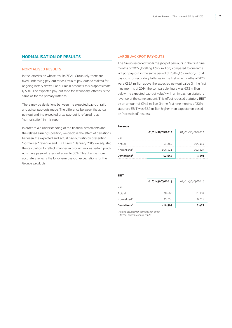### **NORMALISATION OF RESULTS**

### NORMALISED RESULTS

In the lotteries on whose results ZEAL Group rely, there are fixed underlying pay-out ratios (ratio of pay-outs to stakes) for ongoing lottery draws. For our main products this is approximately 50%. The expected pay-out ratio for secondary lotteries is the same as for the primary lotteries.

There may be deviations between the expected pay-out ratio and actual pay-outs made. The difference between the actual pay-out and the expected prize pay-out is referred to as "normalisation" in this report.

In order to aid understanding of the financial statements and the related earnings position, we disclose the effect of deviations between the expected and actual pay-out ratio by presenting "normalised" revenue and EBIT. From 1 January 2015, we adjusted the calculation to reflect changes in product mix as certain products have pay-out rates not equal to 50%. This change more accurately reflects the long-term pay-out expectations for the Group's products.

### LARGE JACKPOT PAY-OUTS

The Group recorded two large jackpot pay-outs in the first nine months of 2015 (totalling €62.9 million) compared to one large jackpot pay-out in the same period of 2014 (€6.7 million). Total pay-outs for secondary lotteries in the first nine months of 2015 were €52.7 million above the expected pay-out value (in the first nine months of 2014, the comparable figure was €3.2 million below the expected pay-out value) with an impact on statutory revenue of the same amount. This effect reduced statutory EBIT by an amount of €14.6 million (in the first nine months of 2014 statutory EBIT was €2.4 million higher than expectation based on "normalised" results).

#### **Revenue**

|                         | 01/01-30/09/2015 | 01/01-30/09/2014 |
|-------------------------|------------------|------------------|
| in $\notin k$           |                  |                  |
| Actual                  | 51.869           | 105.414          |
| Normalised <sup>1</sup> | 104.521          | 102.223          |
| Deviations <sup>2</sup> | $-52,652$        | 3,191            |

|                         | 01/01-30/09/2015 | 01/01-30/09/2014 |  |  |
|-------------------------|------------------|------------------|--|--|
| in $\notin k$           |                  |                  |  |  |
| Actual                  | 20.686           | 11.134           |  |  |
| Normalised <sup>1</sup> | 35.253           | 8.712            |  |  |
| Deviations <sup>2</sup> | $-14,567$        | 2,422            |  |  |

*1 Actuals adjusted for normalisation effect 2 Effect of normalisation of results*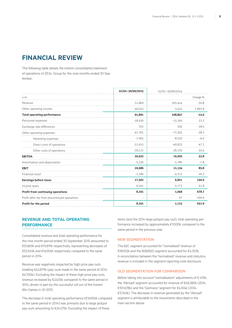# **Financial review**

The following table details the interim consolidated statement of operations of ZEAL Group for the nine months ended 30 September:

|                                               | 01/01-30/09/2015 | 01/01-30/09/2014 |          |
|-----------------------------------------------|------------------|------------------|----------|
| in $\notin k$                                 |                  |                  | Change % |
| Revenue                                       | 51,869           | 105,414          | $-50.8$  |
| Other operating income                        | 40,022           | 3,433            | 1,065.8  |
| <b>Total operating performance</b>            | 91,891           | 108,847          | $-15.6$  |
| Personnel expenses                            | $-18,930$        | $-15,360$        | 23.2     |
| Exchange rate differences                     | 762              | 936              | $-18.6$  |
| Other operating expenses                      | $-47,701$        | $-77,503$        | $-38.5$  |
| Marketing expenses                            | $-7,965$         | $-8,530$         | $-6.6$   |
| Direct costs of operations                    | $-21,615$        | $-40,823$        | $-47.1$  |
| Other costs of operations                     | $-18,121$        | $-28,150$        | $-35.6$  |
| <b>EBITDA</b>                                 | 26,022           | 16,920           | 53.8     |
| Amortisation and depreciation                 | $-5,336$         | $-5,786$         | $-7.8$   |
| <b>EBIT</b>                                   | 20,686           | 11,134           | 85.8     |
| Financial result                              | $-3,184$         | $-4,313$         | $-26.2$  |
| <b>Earnings before taxes</b>                  | 17,502           | 6,821            | 156.6    |
| Income taxes                                  | $-9,341$         | $-5,773$         | 61.8     |
| <b>Profit from continuing operations</b>      | 8,161            | 1.048            | 678.7    |
| Profit after tax from discontinued operations |                  | 67               | $-100.0$ |
| Profit for the period                         | 8,161            | 1,115            | 631.9    |

### **REVENUE AND TOTAL OPERATING PERFORMANCE**

Consolidated revenue and total operating performance for the nine month period ended 30 September 2015 amounted to €51,869k and €91,891k respectively, representing decreases of €53,545k and €16,956k respectively compared to the same period in 2014.

Revenue was negatively impacted by high prize pay-outs totalling €62,879k (pay-outs made in the same period of 2014: €6,700k). Excluding the impact of these high prize pay-outs, revenue increased by €2,634k compared to the same period in 2014, driven in part by the successful roll out of the Instant Win Games in Q1 2015.

The decrease in total operating performance (€16,956k compared to the same period in 2014) was primarily due to large jackpot pay-outs amounting to €24,575k. Excluding the impact of these

items (and the 2014 large jackpot pay-out), total operating performance increased by approximately €1,000k compared to the same period in the previous year.

#### New Segmentation

The B2C segment accounted for "normalised" revenue of €98,102k and the B2B/B2G segment accounted for €4,303k. A reconciliation between the "normalised" revenue and statutory revenue is included in the segment reporting note disclosure.

### Old Segmentation for comparison

Before taking into account "normalisation" adjustments of €-615k, the "Abroad" segment accounted for revenue of €48,380k (2014: €101,678k) and the "Germany" segment for €4,104k (2014: €3,740k). The decrease in revenue generated by the "Abroad" segment is attributable to the movements described in the main section above.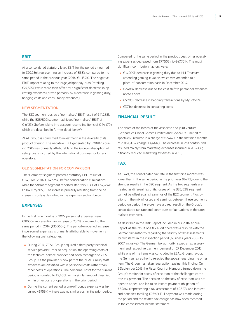### **EBIT**

At a consolidated statutory level, EBIT for the period amounted to €20,686k representing an increase of 85.8% compared to the same period in the previous year (2014: €11,134k). The negative EBIT impact relating to the large jackpot pay-outs (totalling €24,575k) were more than offset by a significant decrease in operating expenses (driven primarily by a decrease in gaming duty, hedging costs and consultancy expenses).

### New Segmentation

The B2C segment posted a "normalised" EBIT result of €41,288k, while the B2B/B2G segment achieved "normalised" EBIT of €-6,123k (before taking into account reconciling items of €-14,479k which are described in further detail below).

ZEAL Group is committed to investment in the diversity of its product offering. The negative EBIT generated by B2B/B2G during 2015 was primarily attributable to the Group's absorption of set-up costs incurred by the international business for lottery operators.

#### Old Segmentation for comparison

The "Germany" segment posted a statutory EBIT result of €-14,017k (2014: €-14,326k) before consolidation eliminations while the "Abroad" segment reported statutory EBIT of €34,964k (2014: €26,219k). The increase primarily resulting from the decrease in costs is described in the expenses section below.

### **Expenses**

In the first nine months of 2015, personnel expenses were €18,930k representing an increase of 23.2% compared to the same period in 2014 (€15,360k). The period-on-period increase in personnel expenses is primarily attributable to movements in the following cost categories:

- During 2014, ZEAL Group acquired a third party technical service provider. Prior to acquisition, the operating costs of the technical service provider had been recharged to ZEAL Group. As the provider is now part of the ZEAL Group, staff expenses are classified within personnel costs rather than other costs of operations. The personnel costs for the current period amounted to €2,488k with a similar amount classified within other costs of operations in the prior period.
- During the current period, a one-off bonus expense was incurred (€958k) – there was no similar cost in the prior period.

Compared to the same period in the previous year, other operating expenses decreased from €77,503k to €47,701k. The most significant contributory factors were:

- €14,209k decrease in gaming duty due to HM Treasury amending gaming taxation, which was amended to a place-of-consumption basis in December 2014.
- €2,488k decrease due to the cost shift to personnel expenses noted above.
- €5,203k decrease in hedging transactions by MyLotto24.
- €3,716k decrease in consulting costs.

### **Financial result**

The share of the losses of the associate and joint venture (Geonomics Global Games Limited and Geo24 UK Limited respectively) resulted in a charge of €2.447k in the first nine months of 2015 (2014 charge: €4,441k). The decrease in loss contributed resulted mainly from marketing expenses incurred in 2014 (significantly reduced marketing expenses in 2015).

### **Tax**

At 53.4%, the consolidated tax rate in the first nine months was lower than in the same period in the prior year (84.7%) due to the stronger results in the B2C segment. As the two segments are treated as different tax units, losses of the B2B/B2G segment cannot be offset against earnings of the B2C segment. Fluctuations in the mix of losses and earnings between these segments period on period therefore have a direct result on the Group's consolidated tax rate and contribute to fluctuations in the rates realised each year.

As described in the Risk Report included in our 2014 Annual Report, as the result of a tax audit, there was a dispute with the German tax authority regarding the validity of tax assessments for two items in the inspection period (business years 2005 to 2007 inclusive). The German tax authority issued a tax assessment and respective payment demand on 27 December 2013. While one of the items was concluded in ZEAL Group's favour, the German tax authority rejected the appeal regarding the other item. The Group has taken legal action against this finding. On 2 September 2015 the Fiscal Court of Hamburg turned down the Group's motion for a stay of execution of the challenged corporate tax payment. The decision on the stay of execution was not open to appeal and led to an instant payment obligation of €3,266k (representing a tax assessment of €2,327k and interest and penalties totalling €939k). Full payment was made during the period and the related tax charge has now been recorded in the consolidated income statement.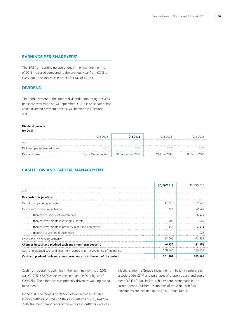### **Earnings per share (EPS)**

The EPS from continuing operations in the first nine months of 2015 increased compared to the previous year from €0.12 to €0.97 due to an increase in profit after tax of €7,113k.

### **Dividend**

The third payment of the interim dividends, amounting to €0.70 per share, was made on 30 September 2015. It is anticipated that a final dividend payment of €0.70 will be made in December 2015.

### **Dividend periods**

| ×<br>۰. | × |
|---------|---|
|---------|---|

|                               | 0.4 2015             | Q.3 2015          | 0.2 2015     | 0.12015       |
|-------------------------------|----------------------|-------------------|--------------|---------------|
| in€                           |                      |                   |              |               |
| Dividend per registered share | N 70.                | ი ⁊ი              |              |               |
| Payment date                  | End of Dec. expected | 30 September 2015 | 30 June 2015 | 31 March 2015 |

### **Cash flow and Capital Management**

|                                                                              | 30/09/2015 | 30/09/2014 |
|------------------------------------------------------------------------------|------------|------------|
| in $\epsilon$ k                                                              |            |            |
| Key cash flow positions                                                      |            |            |
| Cash from operating activities                                               | 11.725     | 19.927     |
| Cash used in investing activities                                            | $-354$     | $-10.024$  |
| thereof acquisition of investments                                           |            | -6 424     |
| thereof investments in intangible assets                                     | $-209$     | -544       |
| thereof investments in property, plant and equipment                         | $-145$     | $-2.131$   |
| thereof acquisition of businesses                                            |            | -925       |
| Cash used in financing activities                                            | $-17.609$  | $-62.888$  |
| Changes in cash and pledged cash and short-term deposits                     | $-6,238$   | -52.985    |
| Cash and pledged cash and short-term deposits at the beginning of the period | 108.140    | 156.129    |
| Cash and pledged cash and short-term deposits at the end of the period       | 101,902    | 103.144    |

Cash from operating activities in the first nine months of 2015 was €11,725k (€8,202k below the comparable 2014 figure of €19,927k). The difference was primarily driven by working capital movements.

injections into the Group's investments in its joint venture and associate (€6,424k) and purchases of property, plant and equipment (€2,131k). No similar cash payments were made in the current period. Further descriptions of the 2014 cash flow movements are included in the 2014 Annual Report.

In the first nine months of 2015, investing activities resulted in cash outflows of €354k (2014: cash outflows of €10,024k). In 2014, the main components of the 2014 cash outflows were cash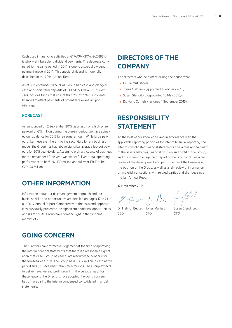Cash used in financing activities of €17,609k (2014: €62,888k) is wholly attributable to dividend payments. The decrease compared to the same period in 2014 is due to a special dividend payment made in 2014. This special dividend is more fully described in the 2014 Annual Report.

As of 30 September 2015, ZEAL Group had cash and pledged cash and short-term deposits of €101,902k (2014: €103,144k). This includes funds that ensure that MyLotto24 is sufficiently financed to effect payments of potential relevant jackpot winnings.

### **Forecast**

As announced on 2 September 2015, as a result of a high prize pay-out of €15 million during the current period, we have adjusted our guidance for 2015 by an equal amount. While large payouts like these are inherent to the secondary lottery business model, the Group has had above statistical average jackpot payouts for 2015 year-to-date. Assuming ordinary course of business for the remainder of the year, we expect full year total operating performance to be €120–130 million and full year EBIT to be  $£20-30$  million

# **Other Information**

Information about our risk management approach and our business risks and opportunities are detailed on pages 17 to 21 of our 2014 Annual Report. Compared with the risks and opportunities previously presented, no significant additional opportunities or risks for ZEAL Group have come to light in the first nine months of 2015.

# **Going concern**

The Directors have formed a judgement at the time of approving the interim financial statements that there is a reasonable expectation that ZEAL Group has adequate resources to continue for the foreseeable future. The Group held €88.2 million in cash at the period end (31 December 2014: €92.6 million). The Group expects to deliver revenue and profit growth in the period ahead. For these reasons, the Directors have adopted the going concern basis in preparing the interim condensed consolidated financial statements.

# **DIRECTORS OF THE Company**

The directors who held office during the period were:

- Dr. Helmut Becker
- Jonas Mattsson (appointed 1 February 2015)
- Susan Standiford (appointed 18 May 2015)
- Dr. Hans Cornehl (resigned 1 September 2015)

# **Responsibility STATEMENT**

To the best of our knowledge, and in accordance with the applicable reporting principles for interim financial reporting, the interim consolidated financial statements give a true and fair view of the assets, liabilities, financial position and profit of the Group, and the interim management report of the Group includes a fair review of the development and performance of the business and the position of the Group, as well as a fair review of information on material transactions with related parties and changes since the last Annual Report.

12 November 2015

U B

Dr. Helmut Becker Jonas Mattsson Susan Standiford CEO CFO CTO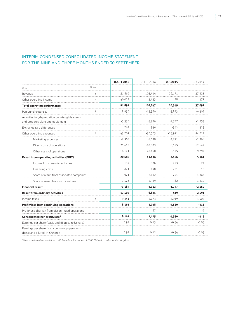### Interim Condensed Consolidated Income Statement FOR THE NINE AND THREE MONTHS ENDED 30 SEPTEMBER

|                                                                                     |                | $0.1 - 32015$ | $0.1 - 3.2014$ | Q.3 2015  | Q.3 2014  |
|-------------------------------------------------------------------------------------|----------------|---------------|----------------|-----------|-----------|
| in $\epsilon$ k                                                                     | Notes          |               |                |           |           |
| Revenue                                                                             |                | 51,869        | 105,414        | 26,171    | 37,221    |
| Other operating income                                                              | $\overline{2}$ | 40,022        | 3,433          | 178       | 471       |
| <b>Total operating performance</b>                                                  |                | 91,891        | 108,847        | 26,349    | 37,692    |
| Personnel expenses                                                                  | 3              | $-18,930$     | $-15,360$      | $-5,873$  | $-6,309$  |
| Amortisation/depreciation on intangible assets<br>and property, plant and equipment |                | $-5,336$      | $-5,786$       | $-1,777$  | $-1,853$  |
| Exchange rate differences                                                           |                | 762           | 936            | $-542$    | 323       |
| Other operating expenses                                                            | 4              | $-47,701$     | $-77,503$      | $-15,991$ | $-24,712$ |
| Marketing expenses                                                                  |                | $-7,965$      | $-8,530$       | $-3,721$  | $-2,268$  |
| Direct costs of operations                                                          |                | $-21,615$     | $-40,823$      | $-6,145$  | $-12,647$ |
| Other costs of operations                                                           |                | $-18,121$     | $-28,150$      | $-6,125$  | $-9,797$  |
| <b>Result from operating activities (EBIT)</b>                                      |                | 20,686        | 11,134         | 2,166     | 5,141     |
| Income from financial activities                                                    |                | 134           | 326            | $-293$    | 24        |
| Financing costs                                                                     |                | $-871$        | $-198$         | $-781$    | $-16$     |
| Share of result from associated companies                                           |                | $-921$        | $-2,112$       | $-291$    | $-1,348$  |
| Share of result from joint ventures                                                 |                | $-1,526$      | $-2,329$       | $-382$    | $-1,210$  |
| <b>Financial result</b>                                                             |                | $-3,184$      | $-4,313$       | $-1,747$  | $-2,550$  |
| <b>Result from ordinary activities</b>                                              |                | 17,502        | 6,821          | 419       | 2,591     |
| Income taxes                                                                        | 6              | $-9,341$      | $-5,773$       | $-4,969$  | $-3,004$  |
| Profit/loss from continuing operations                                              |                | 8,161         | 1,048          | $-4,550$  | $-413$    |
| Profit/loss after tax from discontinued operations                                  |                |               | 67             |           | $-2$      |
| Consolidated net profit/loss <sup>1</sup>                                           |                | 8,161         | 1,115          | $-4,550$  | $-415$    |
| Earnings per share (basic and diluted, in €/share)                                  |                | 0.97          | 0.13           | $-0.54$   | $-0.05$   |
| Earnings per share from continuing operations<br>(basic and diluted, in €/share)    |                | 0.97          | 0.12           | $-0.54$   | $-0.05$   |

*1 The consolidated net profit/loss is attributable to the owners of ZEAL Network, London, United Kingdom.*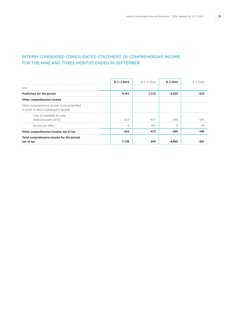### Interim Condensed Consolidated Statement of Comprehensive Income FOR THE NINE AND THREE MONTHS ENDED 30 SEPTEMBER

|                                                                                           | $0.1 - 32015$ | $0.1 - 3.2014$ | 0.32015  | U 3 2014 |
|-------------------------------------------------------------------------------------------|---------------|----------------|----------|----------|
| in $\epsilon$ k                                                                           |               |                |          |          |
| Profit/loss for the period                                                                | 8,161         | 1.115          | $-4,550$ |          |
| Other comprehensive income                                                                |               |                |          |          |
| Other comprehensive income to be reclassified<br>to profit or loss in subsequent periods: |               |                |          |          |
| Loss on available-for-sale<br>financial assets (AFS)                                      | -433          | $-637$         | $-290$   | $-185$   |
| Income tax effect                                                                         |               | 162            |          | 39       |
| Other comprehensive income, net of tax                                                    | -433          | $-475$         | $-290$   | -146     |
| Total comprehensive income for the period,<br>net of tax                                  | 7,728         | 640            | -4.840   |          |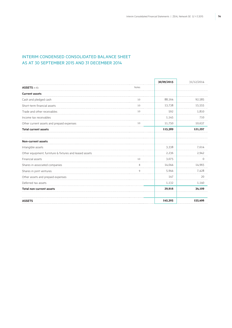### Interim Condensed Consolidated Balance Sheet as at 30 SEPTEMBER 2015 AND 31 DECEMBER 2014

|                                                         |            | 30/09/2015 | 31/12/2014 |
|---------------------------------------------------------|------------|------------|------------|
| <b>ASSETS</b> in €k                                     | Notes<br>. |            |            |
| <b>Current assets</b>                                   |            |            |            |
| Cash and pledged cash                                   | 10         | 88,164     | 92,585     |
| Short-term financial assets                             | 10         | 13,738     | 15,555     |
| Trade and other receivables                             | 10         | 592        | 1,810      |
| Income tax receivables                                  |            | 1,145      | 710        |
| Other current assets and prepaid expenses               | 10         | 11,750     | 10,637     |
| <b>Total current assets</b>                             |            | 115,389    | 121,297    |
| <b>Non-current assets</b>                               |            |            |            |
| Intangible assets                                       |            | 3,338      | 7,614      |
| Other equipment, furniture & fixtures and leased assets |            | 2,236      | 2,942      |
| Financial assets                                        | 10         | 3,075      | 0          |
| Shares in associated companies                          | 8          | 14,044     | 14,965     |
| Shares in joint ventures                                | q          | 5,944      | 7,428      |
| Other assets and prepaid expenses                       |            | 147        | 20         |
| Deferred tax assets                                     |            | 1,132      | 1,140      |
| <b>Total non-current assets</b>                         |            | 29,916     | 34,109     |
| <b>ASSETS</b>                                           |            | 145,305    | 155,406    |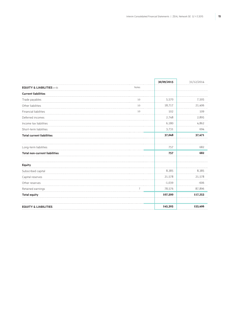|                                       |                | 30/09/2015 | 31/12/2014 |
|---------------------------------------|----------------|------------|------------|
| <b>EQUITY &amp; LIABILITIES in €k</b> | Notes          |            |            |
| <b>Current liabilities</b>            | .              |            |            |
| Trade payables                        | 10             | 5,570      | 7,505      |
| Other liabilities                     | 10             | 18,717     | 21,406     |
| Financial liabilities                 | 10             | 102        | 109        |
| Deferred incomes                      |                | 2,748      | 2,895      |
| Income tax liabilities                |                | 6,180      | 4,862      |
| Short-term liabilities                |                | 3,731      | 694        |
| <b>Total current liabilities</b>      |                | 37,048     | 37,471     |
| Long-term liabilities                 |                | 757        | 682        |
| <b>Total non-current liabilities</b>  |                | 757        | 682        |
| <b>Equity</b>                         |                |            |            |
| Subscribed capital                    |                | 8,385      | 8,385      |
| Capital reserves                      |                | 21,578     | 21,578     |
| Other reserves                        |                | $-1,039$   | $-606$     |
| Retained earnings                     | $\overline{7}$ | 78,576     | 87,896     |
| <b>Total equity</b>                   |                | 107,500    | 117,253    |
| <b>EQUITY &amp; LIABILITIES</b>       |                | 145,305    | 155,406    |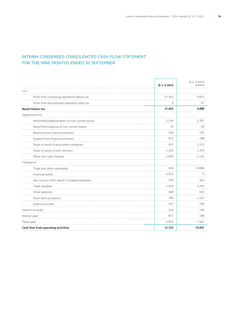### Interim Condensed Consolidated Cash Flow Statement FOR THE NINE MONTHS ENDED 30 SEPTEMBER

|                                                 | $0.1 - 32015$ | $Q.1 - 32014$<br>restated |
|-------------------------------------------------|---------------|---------------------------|
| in $\epsilon$ k                                 |               |                           |
| Profit from continuing operations before tax    | 17,503        | 6,821                     |
| Profit from discontinued operations after tax   | 0             | 67                        |
| <b>Result before tax</b>                        | 17,503        | 6,888                     |
| Adjustments for                                 |               |                           |
| Amortisation/depreciation on non-current assets | 5,336         | 5,787                     |
| Result from disposal of non-current assets      | 19            | $-90$                     |
| Revenue from financial activities               | $-134$        | $-156$                    |
| Expense from financial activities               | 871           | 198                       |
| Share of result of associated companies         | 921           | 2,112                     |
| Share of result of joint ventures               | 1,526         | 2,329                     |
| Other non-cash changes                          | $-1,950$      | 1,124                     |
| Changes in                                      |               |                           |
| Trade and other receivables                     | $-926$        | 10,686                    |
| Financial assets                                | $-3,075$      | $\Omega$                  |
| Non-current other assets or prepaid expenses    | $-128$        | 402                       |
| Trade payables                                  | $-1,935$      | $-3,252$                  |
| Other liabilities                               | $-368$        | 619                       |
| Short-term provisions                           | 784           | 1.522                     |
| Deferred income                                 | $-147$        | $-749$                    |
| Interest received                               | 134           | 156                       |
| Interest paid                                   | $-871$        | $-198$                    |
| Taxes paid                                      | $-5,835$      | $-7,451$                  |
| Cash flow from operating activities             | 11,725        | 19,927                    |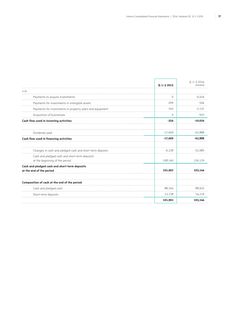F

٦

|                                                                                 | $0.1 - 32015$ | $0.1 - 32014$<br>restated |
|---------------------------------------------------------------------------------|---------------|---------------------------|
| in $\epsilon$ k                                                                 |               |                           |
| Payments to acquire investments                                                 | 0             | $-6.424$                  |
| Payments for investments in intangible assets                                   | $-209$        | $-544$                    |
| Payments for investments in property, plant and equipment                       | $-145$        | $-2.131$                  |
| Acquisition of businesses                                                       | $\Omega$      | $-925$                    |
| Cash flow used in investing activities                                          | $-354$        | $-10,024$                 |
| Dividends paid                                                                  | $-17,609$     | $-62,888$                 |
| Cash flow used in financing activities                                          | $-17,609$     | $-62,888$                 |
| Changes in cash and pledged cash and short-term deposits                        | $-6,238$      | $-52.985$                 |
| Cash and pledged cash and short-term deposits<br>at the beginning of the period | 108,140       | 156,129                   |
| Cash and pledged cash and short-term deposits<br>at the end of the period       | 101,902       | 103.144                   |
| Composition of cash at the end of the period                                    |               |                           |
| Cash and pledged cash                                                           | 88,164        | 88,925                    |
| Short-term deposits                                                             | 13,738        | 14,219                    |
|                                                                                 | 101,902       | 103,144                   |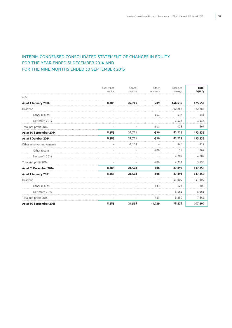### Interim Condensed Consolidated Statement of Changes in Equity FOR THE YEAR ENDED 31 DECEMBER 2014 AND FOR THE NINE MONTHS ENDED 30 SEPTEMBER 2015

|                          | Subscribed<br>capital | Capital<br>reserves | Other<br>reserves | Retained<br>earnings | <b>Total</b><br>equity |
|--------------------------|-----------------------|---------------------|-------------------|----------------------|------------------------|
| in $\epsilon$ k          |                       |                     |                   |                      |                        |
| As at 1 January 2014     | 8,385                 | 22,741              | $-209$            | 144,639              | 175,556                |
| Dividend                 |                       |                     |                   | $-62.888$            | $-62,888$              |
| Other results            |                       |                     | $-111$            | $-137$               | $-248$                 |
| Net profit 2014          |                       |                     |                   | 1,115                | 1,115                  |
| Total net profit 2014    |                       |                     | $-111$            | 978                  | 867                    |
| As at 30 September 2014  | 8,385                 | 22,741              | $-320$            | 82,729               | 113,535                |
| As at 1 October 2014     | 8,385                 | 22,741              | $-320$            | 82,729               | 113,535                |
| Other reserves movements |                       | $-1.163$            |                   | 946                  | $-217$                 |
| Other results            |                       |                     | $-286$            | 19                   | $-267$                 |
| Net profit 2014          |                       |                     |                   | 4,202                | 4,202                  |
| Total net profit 2014    |                       |                     | $-286$            | 4,221                | 3,935                  |
| As at 31 December 2014   | 8,385                 | 21,578              | $-606$            | 87,896               | 117,253                |
| As at 1 January 2015     | 8.385                 | 21,578              | $-606$            | 87,896               | 117,253                |
| Dividend                 |                       |                     |                   | $-17.609$            | $-17,609$              |
| Other results            |                       |                     | $-433$            | 128                  | $-305$                 |
| Net profit 2015          |                       |                     |                   | 8,161                | 8,161                  |
| Total net profit 2015    |                       |                     | $-433$            | 8,289                | 7,856                  |
| As at 30 September 2015  | 8,385                 | 21,578              | $-1,039$          | 78,576               | 107,500                |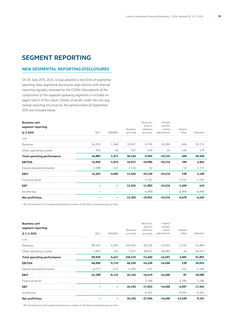# **SEGMENT REPORTING**

### **NEW SEGMENTAL REPORTING DISCLOSURES**

On 30 June 2015, ZEAL Group adopted a new form of segmental reporting. New segmental disclosures align directly with internal reporting regularly reviewed by the CODM. Descriptions of the composition of the separate operating segments is included on page 5 and 6 of this report. Details of results under the new segmental reporting structure for the period ended 30 September 2015 are included below.

| <b>Business unit</b><br>segment reporting |                  |          |                               | Reconcili-<br>ation to | - thereof<br>normal-   |                    |           |
|-------------------------------------------|------------------|----------|-------------------------------|------------------------|------------------------|--------------------|-----------|
| Q.3 2015                                  | B2C <sup>1</sup> | B2B/B2G  | <b>Business</b><br>unit total | statutory<br>accounts  | isation<br>adjustments | - thereof<br>other | Statutory |
| in $\epsilon$ k                           |                  |          |                               |                        |                        |                    |           |
| Revenue                                   | 34,579           | 1,348    | 35.927                        | -9.756                 | -10,360                | 604                | 26.171    |
| Other operating income                    | 303              | 24       | 327                           | $-149$                 | $-14$                  | $-135$             | 178       |
| <b>Total operating performance</b>        | 34,882           | 1,372    | 36,254                        | $-9,905$               | $-10,374$              | 469                | 26,349    |
| <b>EBITDA</b>                             | 15,950           | $-1,923$ | 14,027                        | $-10,084$              | $-10,374$              | 290                | 3,943     |
| Depreciation/amortisation                 | $-1,588$         | $-137$   | $-1,725$                      | $-52$                  |                        | $-52$              | $-1,777$  |
| <b>EBIT</b>                               | 14,362           | $-2,060$ | 12,302                        | $-10,136$              | $-10,374$              | 238                | 2,166     |
| Financial result                          |                  |          |                               | $-1.747$               |                        | $-1,747$           | $-1,747$  |
| <b>EBT</b>                                |                  |          | 12,302                        | $-11,883$              | $-10.374$              | $-1,509$           | 419       |
| Income tax                                |                  |          |                               | -4,969                 |                        | -4.969             | $-4,969$  |
| Net profit/loss                           |                  |          | 12,302                        | $-16,852$              | $-10.374$              | $-6,478$           | $-4.550$  |

<sup>1</sup> B2C performance in the segmental disclosure is shown on the basis of expected pay-out ratio.

| <b>Business unit</b><br>segment reporting |                  |          | <b>Business</b>   | Reconcili-<br>ation to<br>statutory | - thereof<br>normal-<br>isation | - thereof |           |
|-------------------------------------------|------------------|----------|-------------------|-------------------------------------|---------------------------------|-----------|-----------|
| $Q.1 - 32015$                             | B2C <sup>1</sup> | B2B/B2G  | unit total        | accounts                            | adjustments                     | other     | Statutory |
| in $\epsilon$ k                           |                  |          |                   |                                     |                                 |           |           |
| Revenue                                   | 98.102           | 4,303    | 102,405           | -50,536                             | $-52.652$                       | 2.116     | 51.869    |
| Other operating income                    | 1,837            | 134      | 1,971             | 38,051                              | 38.085                          | -34       | 40,022    |
| <b>Total operating performance</b>        | 99,939           | 4,437    | 104,376           | $-12,485$                           | $-14,567$                       | 2,082     | 91,891    |
| <b>EBITDA</b>                             | 46,060           | $-5,710$ | 40,350            | $-14,328$                           | $-14,566$                       | 238       | 26,022    |
| Depreciation/amortisation                 | $-4.772$         | $-413$   | $-5.185$          | $-151$                              |                                 | $-151$    | $-5,336$  |
| <b>EBIT</b>                               | 41,288           | $-6,123$ | 35,165            | $-14,479$                           | $-14,566$                       | 87        | 20,686    |
| Financial result                          |                  |          | $\qquad \qquad -$ | $-3,184$                            | $\qquad \qquad -$               | $-3,184$  | $-3,184$  |
| <b>EBT</b>                                |                  |          | 35,165            | $-17,663$                           | $-14,566$                       | $-3,097$  | 17,502    |
| Income tax                                |                  |          |                   | $-9,341$                            |                                 | $-9.341$  | $-9,341$  |
| Net profit/loss                           |                  |          | 35,165            | $-27,004$                           | $-14,566$                       | $-12,438$ | 8,161     |

<sup>1</sup> B2C performance in the segmental disclosure is shown on the basis of expected pay-out ratio.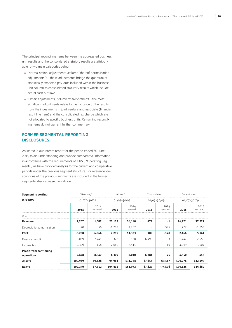The principal reconciling items between the aggregated business unit results and the consolidated statutory results are attributable to two main categories being:

- "Normalisation" adjustments (column "thereof normalisation adjustments") – these adjustments bridge the quantum of statistically expected pay-outs included within the business unit column to consolidated statutory results which include actual cash outflows.
- "Other" adjustments (column "thereof other") the most significant adjustments relate to the inclusion of the results from the investments in joint venture and associate (financial result line item) and the consolidated tax charge which are not allocated to specific business units. Remaining reconciling items do not warrant further commentary.

### **FORMER SEGMENTAL REPORTING DISCLOSURES**

As stated in our interim report for the period ended 30 June 2015, to aid understanding and provide comparative information in accordance with the requirements of IFRS 8 "Operating Segments", we have provided analysis for the current and comparative periods under the previous segment structure. For reference, descriptions of the previous segments are included in the former segmental disclosure section above.

| <b>Segment reporting</b>                    | "Germany" |                  | "Abroad" |                  | Consolidation |                  | Consolidated |                  |  |
|---------------------------------------------|-----------|------------------|----------|------------------|---------------|------------------|--------------|------------------|--|
| Q.3 2015                                    |           | 01/07-30/09      |          | 01/07-30/09      |               | 01/07-30/09      |              | 01/07-30/09      |  |
|                                             | 2015      | 2014<br>restated | 2015     | 2014<br>restated | 2015          | 2014<br>restated | 2015         | 2014<br>restated |  |
| in $\epsilon$ k                             |           |                  |          |                  |               |                  |              |                  |  |
| Revenue                                     | 1,207     | 1,082            | 25,135   | 36,140           | $-171$        | $-1$             | 26,171       | 37,221           |  |
| Depreciation/amortisation                   | -70       | -56              | $-1,707$ | $-1,202$         | -             | $-595$           | $-1,777$     | $-1,853$         |  |
| <b>EBIT</b>                                 | $-5,238$  | $-6,064$         | 7,295    | 11,333           | 109           | $-128$           | 2,166        | 5,141            |  |
| Financial result                            | 5,069     | $-2,741$         | $-326$   | 188              | $-6,490$      | 3                | $-1,747$     | $-2,550$         |  |
| Income tax                                  | $-2,309$  | 458              | $-2.660$ | $-3,511$         |               | 49               | -4,969       | $-3,004$         |  |
| <b>Profit from continuing</b><br>operations | $-2,478$  | $-8,347$         | 4,309    | 8,010            | $-6,381$      | $-75$            | $-4,550$     | $-413$           |  |
| <b>Assets</b>                               | 100,969   | 69,628           | 95,961   | 131,734          | $-67,654$     | $-69,167$        | 129,276      | 132,195          |  |
| <b>Debts</b>                                | 102,340   | 67,512           | 104,412  | 151,973          | $-67,627$     | $-74,596$        | 139,125      | 144,889          |  |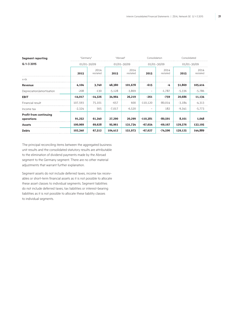| $01/01 - 30/09$ |                  | 01/01-30/09 |                  | $01/01 - 30/09$          |                  | 01/01-30/09   |                  |
|-----------------|------------------|-------------|------------------|--------------------------|------------------|---------------|------------------|
| 2015            | 2014<br>restated | 2015        | 2014<br>restated | 2015                     | 2014<br>restated | 2015          | 2014<br>restated |
|                 |                  |             |                  |                          |                  |               |                  |
| 4,104           | 3,740            | 48,380      | 101,678          | $-615$                   | -4               | 51,869        | 105,414          |
| $-208$          | $-130$           | $-5,128$    | $-3,869$         | $\qquad \qquad -$        | $-1,787$         | $-5,336$      | $-5,786$         |
| $-14,017$       | $-14,326$        | 34,964      | 26,219           | $-261$                   | $-759$           | 20,686        | 11,134           |
| 107,593         | 75,101           | $-657$      | 600              | $-110.120$               | $-80,014$        | $-3,184$      | $-4,313$         |
| $-2,324$        | 565              | $-7,017$    | $-6,520$         | $\overline{\phantom{m}}$ | 182              | -9,341        | $-5,773$         |
| 91,252          | 61,340           | 27,290      | 20,299           | $-110,381$               | $-80,591$        | 8,161         | 1,048            |
| 100,969         | 69,628           | 95,961      | 131,734          | $-67,654$                | $-69,167$        | 129,276       | 132,195          |
| 102,340         | 67,512           | 104,412     | 151,973          | $-67,627$                | $-74,596$        | 139,125       | 144,889          |
|                 |                  | "Germany"   |                  | "Abroad"                 |                  | Consolidation | Consolidated     |

The principal reconciling items between the aggregated business unit results and the consolidated statutory results are attributable to the elimination of dividend payments made by the Abroad segment to the Germany segment. There are no other material adjustments that warrant further explanation.

Segment assets do not include deferred taxes, income tax receivables or short-term financial assets as it is not possible to allocate these asset classes to individual segments. Segment liabilities do not include deferred taxes, tax liabilities or interest-bearing liabilities as it is not possible to allocate these liability classes to individual segments.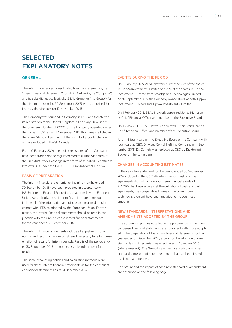# **SELECTED EXPLANATORY NOTES**

### **GENERAL**

The interim condensed consolidated financial statements (the "interim financial statements") for ZEAL Network (the "Company") and its subsidiaries (collectively, "ZEAL Group" or "the Group") for the nine months ended 30 September 2015 were authorised for issue by the directors on 12 November 2015.

The Company was founded in Germany in 1999 and transferred its registration to the United Kingdom in February 2014 under the Company Number SE000078. The Company operated under the name Tipp24 SE until November 2014. Its shares are listed in the Prime Standard segment of the Frankfurt Stock Exchange and are included in the SDAX index.

From 10 February 2014, the registered shares of the Company have been traded on the regulated market (Prime Standard) of the Frankfurt Stock Exchange in the form of so-called Clearstream Interests (CI) under the ISIN GB00BHD66J44/WKN TPP024.

#### Basis of preparation

The interim financial statements for the nine months ended 30 September 2015 have been prepared in accordance with IAS 34 "Interim Financial Reporting", as adopted by the European Union. Accordingly, these interim financial statements do not include all of the information and disclosures required to fully comply with IFRS as adopted by the European Union. For this reason, the interim financial statements should be read in conjunction with the Group's consolidated financial statements for the year ended 31 December 2014.

The interim financial statements include all adjustments of a normal and recurring nature considered necessary for a fair presentation of results for interim periods. Results of the period ended 30 September 2015 are not necessarily indicative of future results.

The same accounting policies and calculation methods were used for these interim financial statements as for the consolidated financial statements as at 31 December 2014.

### Events during the period

On 15 January 2015, ZEAL Network purchased 25% of the shares in Tipp24 Investment 1 Limited and 25% of the shares in Tipp24 Investment 2 Limited from Smartgames Technologies Limited. At 30 September 2015, the Company owned 100% of both Tipp24 Investment 1 Limited and Tipp24 Investment 2 Limited.

On 1 February 2015, ZEAL Network appointed Jonas Mattsson as Chief Financial Officer and member of the Executive Board.

On 18 May 2015, ZEAL Network appointed Susan Standiford as Chief Technical Officer and member of the Executive Board.

After thirteen years on the Executive Board of the Company, with four years as CEO, Dr. Hans Cornehl left the Company on 1 September 2015. Dr. Cornehl was replaced as CEO by Dr. Helmut Becker on the same date.

### Changes in accounting estimates

In the cash flow statement for the period ended 30 September 2014 included in the Q3 2014 interim report, cash and cash equivalents did not include short term financial assets of €14,219k. As these assets met the definition of cash and cash equivalents, the comparative figures in the current period cash flow statement have been restated to include these amounts.

### New standards, interpretations and amendments adopted by the Group

The accounting policies adopted in the preparation of the interim condensed financial statements are consistent with those adopted in the preparation of the annual financial statements for the year ended 31 December 2014, except for the adoption of new standards and interpretations effective as of 1 January 2015 (where relevant). The Group has not early adopted any other standards, interpretation or amendment that has been issued but is not yet effective.

The nature and the impact of each new standard or amendment are described on the following page: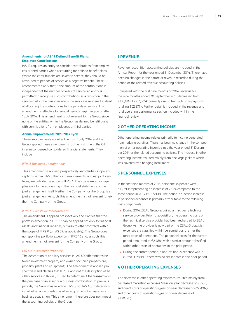### **Amendments to IAS 19 Defined Benefit Plans: Employee Contributions**

IAS 19 requires an entity to consider contributions from employees or third parties when accounting for defined benefit plans. Where the contributions are linked to service, they should be attributed to periods of service as a negative benefit. These amendments clarify that, if the amount of the contributions is independent of the number of years of service, an entity is permitted to recognise such contributions as a reduction in the service cost in the period in which the service is rendered, instead of allocating the contributions to the periods of service. This amendment is effective for annual periods beginning on or after 1 July 2014. This amendment is not relevant to the Group, since none of the entities within the Group has defined benefit plans with contributions from employees or third parties.

#### **Annual Improvements 2011–2013 Cycle**

These improvements are effective from 1 July 2014 and the Group applied these amendments for the first time in the Q1 interim condensed consolidated financial statements. They include:

#### *IFRS 3 Business Combinations*

This amendment is applied prospectively and clarifies scope exceptions within IFRS 3 that joint arrangements, not just joint ventures, are outside the scope of IFRS 3. This scope exception applies only to the accounting in the financial statements of the joint arrangement itself. Neither the Company nor the Group is a joint arrangement. As such, this amendment is not relevant for either the Company or the Group.

#### *IFRS 13 Fair Value Measurement*

The amendment is applied prospectively and clarifies that the portfolio exception in IFRS 13 can be applied not only to financial assets and financial liabilities, but also to other contracts within the scope of IFRS 9 (or IAS 39, as applicable). The Group does not apply the portfolio exception in IFRS 13 and, as such, this amendment is not relevant for the Company or the Group.

#### *IAS 40 Investment Property*

The description of ancillary services in IAS 40 differentiates between investment property and owner-occupied property (i.e., property, plant and equipment). The amendment is applied prospectively and clarifies that IFRS 3, and not the description of ancillary services in IAS 40, is used to determine if the transaction is the purchase of an asset or a business combination. In previous periods, the Group has relied on IFRS 3, not IAS 40, in determining whether an acquisition is of an acquisition of an asset or a business acquisition. This amendment therefore does not impact the accounting policies of the Group.

### **1 Revenue**

Revenue recognition accounting policies are included in the Annual Report for the year ended 31 December 2014. There have been no changes in the nature of revenue recorded during the period or the related revenue accounting policies.

Compared with the first nine months of 2014, revenue for the nine months ended 30 September 2015 decreased from €105,414k to €51,869k primarily due to two high prize pay-outs totalling €62,879k. Further detail is included in the revenue and total operating performance section included within the financial review.

### **2 Other operating income**

Other operating income relates primarily to income generated from hedging activities. There has been no change in the composition of other operating income since the year ended 31 December 2014 or the related accounting policies. The increase in other operating income resulted mainly from one large jackpot which was covered by a hedging instrument.

### **3 Personnel expenses**

In the first nine months of 2015, personnel expenses were €18,930k representing an increase of 23.2% compared to the same period in 2014 (€15,360k). The period-on-period increase in personnel expenses is primarily attributable to the following cost components:

- During 2014, ZEAL Group acquired a third party technical service provider. Prior to acquisition, the operating costs of the technical service provider had been recharged to ZEAL Group. As the provider is now part of the ZEAL Group, staff expenses are classified within personnel costs rather than other costs of operations. The personnel costs for the current period amounted to €2,488k with a similar amount classified within other costs of operations in the prior period.
- During the current period, a one-off bonus expense was incurred (€958k) – there was no similar cost in the prior period.

### **4 Other operating expenses**

The decrease in other operating expenses resulted mainly from decreased marketing expenses (year-on-year decrease of €565k) and direct costs of operations (year-on-year decrease of €19,208k) and other costs of operations (year-on-year decrease of €10,029k).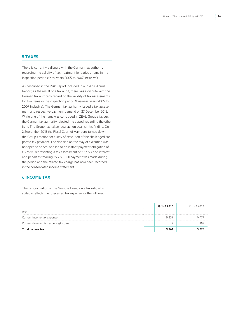### **5 Taxes**

There is currently a dispute with the German tax authority regarding the validity of tax treatment for various items in the inspection period (fiscal years 2005 to 2007 inclusive).

As described in the Risk Report included in our 2014 Annual Report, as the result of a tax audit, there was a dispute with the German tax authority regarding the validity of tax assessments for two items in the inspection period (business years 2005 to 2007 inclusive). The German tax authority issued a tax assessment and respective payment demand on 27 December 2013. While one of the items was concluded in ZEAL Group's favour, the German tax authority rejected the appeal regarding the other item. The Group has taken legal action against this finding. On 2 September 2015 the Fiscal Court of Hamburg turned down the Group's motion for a stay of execution of the challenged corporate tax payment. The decision on the stay of execution was not open to appeal and led to an instant payment obligation of €3,266k (representing a tax assessment of €2,327k and interest and penalties totalling €939k). Full payment was made during the period and the related tax charge has now been recorded in the consolidated income statement.

### **6 Income tax**

The tax calculation of the Group is based on a tax ratio which suitably reflects the forecasted tax expense for the full year.

|                                     | $Q.1 - 32015$ | 0.1-3 2014 |
|-------------------------------------|---------------|------------|
| in $\epsilon$ k                     |               |            |
| Current income tax expense          | 9 339         |            |
| Current deferred tax expense/income |               |            |
| Total income tax                    | 9.341         |            |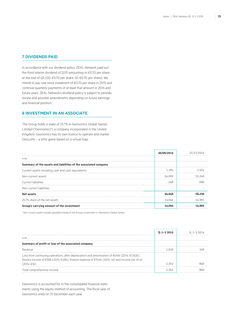### **7 Dividends paid**

In accordance with our dividend policy, ZEAL Network paid out the third interim dividend of 2015 amounting to €0.70 per share at the end of Q3 (Q2: €0.70 per share; Q1: €0.70 per share). We intend to pay one more instalment of €0.70 per share in 2015 and continue quarterly payments of at least that amount in 2016 and future years. ZEAL Network's dividend policy is subject to periodic review and possible amendments depending on future earnings and financial position.

### **8 Investment in an associate**

The Group holds a stake of 25.7% in Geonomics Global Games Limited ("Geonomics"), a company incorporated in the United Kingdom. Geonomics has its own licence to operate and market GeoLotto – a lotto game based on a virtual map.

|                                                                 | 30/09/2015 |        |
|-----------------------------------------------------------------|------------|--------|
| in $\epsilon$ k                                                 |            |        |
| Summary of the assets and liabilities of the associated company |            |        |
| Current assets including cash and cash equivalents              | 1.185      | 3.561  |
| Non-current assets <sup>1</sup>                                 | 54.009     | 55.349 |
| Current liabilities                                             | -548       |        |
| Non-current liabilities                                         |            |        |
| Net assets                                                      | 54,646     | 58,230 |
| 25.7% share of the net assets                                   | 14.044     | 14.965 |
| Group's carrying amount of the investment                       | 14.044     | 14.965 |

*1 Non-current assets includes goodwill arising on the Group's investment in Geonomics Global Games.*

|                                                                                                 | $0.1 - 32015$ | 1 1-3 2014 |
|-------------------------------------------------------------------------------------------------|---------------|------------|
| in $\epsilon$ k                                                                                 |               |            |
|                                                                                                 |               |            |
| Summary of profit or loss of the associated company                                             |               |            |
| Revenue                                                                                         |               |            |
| Loss from continuing operations, after depreciation and amortisation of €616k (2014: €1,162k),  |               |            |
| finance income of €58k (2014: €48k), finance expense of €144k (2014: nil) and income tax of nil |               |            |
| (2014:€1k)                                                                                      |               |            |
| Total comprehensive income                                                                      |               |            |

Geonomics is accounted for in the consolidated financial statements using the equity method of accounting. The fiscal year of Geonomics ends on 31 December each year.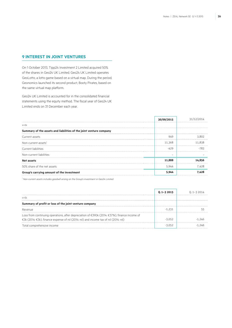### **9 Interest in joint ventures**

On 1 October 2013, Tipp24 Investment 2 Limited acquired 50% of the shares in Geo24 UK Limited. Geo24 UK Limited operates GeoLotto, a lotto game based on a virtual map. During the period, Geonomics launched its second product, Booty Pirates, based on the same virtual map platform.

Geo24 UK Limited is accounted for in the consolidated financial statements using the equity method. The fiscal year of Geo24 UK Limited ends on 31 December each year.

|                                                                    | 30/09/2015 | 31/12/2 |
|--------------------------------------------------------------------|------------|---------|
| in $\epsilon$ k                                                    |            |         |
| Summary of the assets and liabilities of the joint venture company |            |         |
| Current assets                                                     | 949        | 3.802   |
| Non-current assets <sup>1</sup>                                    | 11.368     | 11.838  |
| Current liabilities                                                | -429       |         |
| Non-current liabilities                                            |            |         |
| Net assets                                                         | 11,888     | 14.856  |
| 50% share of the net assets                                        | 5,944      | 7.428   |
| Group's carrying amount of the investment                          | 5.944      |         |

*1 Non-current assets includes goodwill arising on the Group's investment in Geo24 Limited.*

|                                                                                                                                                                                        | $0.1 - 32015$ | በ 1–3 2014 |
|----------------------------------------------------------------------------------------------------------------------------------------------------------------------------------------|---------------|------------|
| in $\epsilon$ k                                                                                                                                                                        |               |            |
| Summary of profit or loss of the joint venture company                                                                                                                                 |               |            |
| Revenue                                                                                                                                                                                | -1 231        |            |
| Loss from continuing operations, after depreciation of €390k (2014: €371k), finance income of<br>€3k (2014: €3k), finance expense of nil (2014: nil) and income tax of nil (2014: nil) | $-3052$       |            |
| Total comprehensive income                                                                                                                                                             |               |            |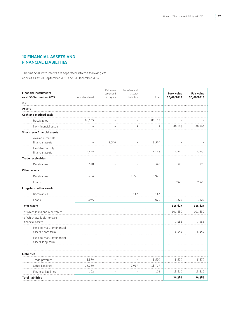### **10 Financial assets and financial liabilities**

The financial instruments are separated into the following categories as at 30 September 2015 and 31 December 2014:

| <b>Financial instruments</b>                     |                | Fair value<br>recognised | Non-financial<br>assets/ |        | <b>Book value</b> | <b>Fair value</b> |
|--------------------------------------------------|----------------|--------------------------|--------------------------|--------|-------------------|-------------------|
| as at 30 September 2015                          | Amortised cost | in equity                | liabilities              | Total  | 30/09/2015        | 30/09/2015        |
| in $\epsilon$ k                                  |                |                          |                          |        |                   |                   |
| <b>Assets</b>                                    |                |                          |                          |        |                   |                   |
| Cash and pledged cash                            |                |                          |                          |        |                   |                   |
| Receivables                                      | 88,155         |                          |                          | 88,155 |                   |                   |
| Non-financial assets                             |                |                          | 9                        | 9      | 88,164            | 88,164            |
| <b>Short-term financial assets</b>               |                |                          |                          |        |                   |                   |
| Available-for-sale                               |                |                          |                          |        |                   |                   |
| financial assets                                 |                | 7,586                    |                          | 7,586  |                   |                   |
| Held-to-maturity                                 | 6,152          |                          |                          |        |                   |                   |
| financial assets                                 |                |                          |                          | 6,152  | 13,738            | 13,738            |
| <b>Trade receivables</b>                         |                |                          |                          |        |                   |                   |
| Receivables                                      | 578            |                          |                          | 578    | 578               | 578               |
| Other assets                                     |                |                          |                          |        |                   |                   |
| Receivables                                      | 3,704          |                          | 6,221                    | 9,925  |                   |                   |
| Loans                                            |                |                          |                          |        | 9,925             | 9,925             |
| Long-term other assets                           |                |                          |                          |        |                   |                   |
| Receivables                                      |                |                          | 147                      | 147    |                   |                   |
| Loans                                            | 3,075          |                          |                          | 3,075  | 3,222             | 3,222             |
| <b>Total assets</b>                              |                |                          |                          |        | 115,627           | 115,627           |
| - of which loans and receivables                 |                |                          |                          |        | 101,889           | 101,889           |
| - of which available-for-sale                    |                |                          |                          |        |                   |                   |
| financial assets                                 |                |                          |                          |        | 7,586             | 7,586             |
| Held-to-maturity financial<br>assets, short-term |                |                          |                          |        | 6,152             | 6,152             |
| Held-to-maturity financial<br>assets, long-term  |                |                          |                          |        |                   |                   |
| <b>Liabilities</b>                               |                |                          |                          |        |                   |                   |
| Trade payables                                   | 5,570          |                          |                          | 5,570  | 5,570             | 5,570             |
| Other liabilities                                | 15,750         |                          | 2,967                    | 18,717 |                   |                   |
| Financial liabilities                            | 102            |                          |                          | 102    | 18,819            | 18,819            |
| <b>Total liabilities</b>                         |                |                          |                          |        | 24,389            | 24,389            |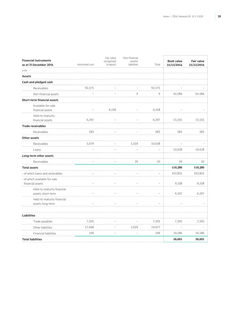| <b>Financial instruments</b><br>as at 31 December 2014 | Amortised cost | Fair value<br>recognised<br>in equity | Non-financial<br>assets/<br>liabilities | Total  | <b>Book value</b><br>31/12/2014 | <b>Fair value</b><br>31/12/2014 |
|--------------------------------------------------------|----------------|---------------------------------------|-----------------------------------------|--------|---------------------------------|---------------------------------|
| in $\epsilon$ k<br>.                                   |                |                                       |                                         |        |                                 |                                 |
| <b>Assets</b>                                          |                |                                       |                                         |        |                                 |                                 |
| Cash and pledged cash                                  |                |                                       |                                         |        |                                 |                                 |
| Receivables                                            | 92,575         |                                       |                                         | 92,575 |                                 |                                 |
| Non-financial assets                                   |                |                                       | 9                                       | 9      | 92,584                          | 92,584                          |
| <b>Short-term financial assets</b>                     |                |                                       |                                         |        |                                 |                                 |
| Available-for-sale<br>financial assets                 |                | 9,258                                 |                                         | 9,258  |                                 |                                 |
| Held-to-maturity                                       |                |                                       |                                         |        |                                 |                                 |
| financial assets                                       | 6,297          |                                       |                                         | 6,297  | 15,555                          | 15,555                          |
| <b>Trade receivables</b>                               |                |                                       |                                         |        |                                 |                                 |
| Receivables                                            | 583            |                                       |                                         | 583    | 583                             | 583                             |
| <b>Other assets</b>                                    |                |                                       |                                         |        |                                 |                                 |
| Receivables                                            | 5,079          |                                       | 5,559                                   | 10,638 |                                 |                                 |
| Loans                                                  |                |                                       |                                         |        | 10,638                          | 10,638                          |
| Long-term other assets                                 |                |                                       |                                         |        |                                 |                                 |
| Receivables                                            |                |                                       | 20                                      | 20     | 20                              | 20                              |
| <b>Total assets</b>                                    |                |                                       |                                         |        | 119,380                         | 119,380                         |
| - of which loans and receivables                       |                |                                       |                                         |        | 103,825                         | 103,825                         |
| - of which available-for-sale<br>financial assets      |                |                                       |                                         |        | 9,258                           | 9,258                           |
| Held-to-maturity financial<br>assets, short-term       |                |                                       |                                         |        | 6,297                           | 6,297                           |
| Held-to-maturity financial<br>assets, long-term        |                |                                       |                                         |        |                                 |                                 |
| <b>Liabilities</b>                                     |                |                                       |                                         |        |                                 |                                 |
| Trade payables                                         | 7,505          |                                       |                                         | 7,505  | 7,505                           | 7,505                           |
| Other liabilities                                      | 17,048         |                                       | 2,029                                   | 19,077 |                                 |                                 |
| Financial liabilities                                  | 109            |                                       |                                         | 109    | 19,186                          | 19,186                          |
| <b>Total liabilities</b>                               |                |                                       |                                         |        | 26,691                          | 26,691                          |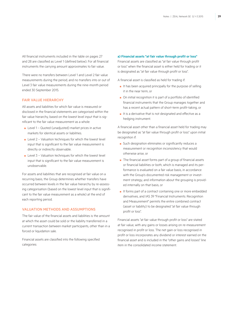All financial instruments included in the table on pages 27 and 28 are classified as Level 1 (defined below). For all financial instruments the carrying amount approximates to fair value.

There were no transfers between Level 1 and Level 2 fair value measurements during the period, and no transfers into or out of Level 3 fair value measurements during the nine-month period ended 30 September 2015.

### Fair value hierarchy

All assets and liabilities for which fair value is measured or disclosed in the financial statements are categorised within the fair value hierarchy, based on the lowest level input that is significant to the fair value measurement as a whole:

- Level 1 Quoted (unadjusted) market prices in active markets for identical assets or liabilities.
- $\blacksquare$  Level 2 Valuation techniques for which the lowest level input that is significant to the fair value measurement is directly or indirectly observable.
- $\blacksquare$  Level 3 Valuation techniques for which the lowest level input that is significant to the fair value measurement is unobservable.

For assets and liabilities that are recognised at fair value on a recurring basis, the Group determines whether transfers have occurred between levels in the fair value hierarchy by re-assessing categorisation (based on the lowest level input that is significant to the fair value measurement as a whole) at the end of each reporting period.

### VAI UATION METHODS AND ASSUMPTIONS

The fair value of the financial assets and liabilities is the amount at which the asset could be sold or the liability transferred in a current transaction between market participants, other than in a forced or liquidation sale.

Financial assets are classified into the following specified categories:

#### **a) Financial assets "at fair value through profit or loss"**

Financial assets are classified as "at fair value through profit or loss" when the financial asset is either held for trading or it is designated as "at fair value through profit or loss".

A financial asset is classified as held for trading if:

- It has been acquired principally for the purpose of selling it in the near term, or
- On initial recognition it is part of a portfolio of identified financial instruments that the Group manages together and has a recent actual pattern of short-term profit-taking, or
- It is a derivative that is not designated and effective as a hedging instrument.

A financial asset other than a financial asset held for trading may be designated as "at fair value through profit or loss" upon initial recognition if:

- Such designation eliminates or significantly reduces a measurement or recognition inconsistency that would otherwise arise, or
- The financial asset forms part of a group of financial assets or financial liabilities or both, which is managed and its performance is evaluated on a fair value basis, in accordance with the Group's documented risk management or investment strategy, and information about the grouping is provided internally on that basis, or
- It forms part of a contract containing one or more embedded derivatives, and IAS 39 "Financial Instruments: Recognition and Measurement" permits the entire combined contract (asset or liability) to be designated "at fair value through profit or loss".

Financial assets "at fair value through profit or loss" are stated at fair value, with any gains or losses arising on re-measurement recognised in profit or loss. The net gain or loss recognised in profit or loss incorporates any dividend or interest earned on the financial asset and is included in the "other gains and losses" line item in the consolidated income statement.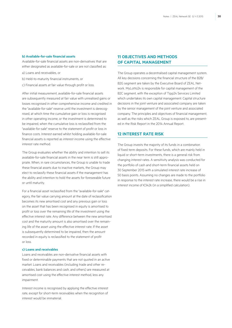### **b) Available-for-sale financial assets**

Available-for-sale financial assets are non-derivatives that are either designated as available-for-sale or are not classified as:

- a) Loans and receivables, or
- b) Held-to-maturity financial instruments, or
- c) Financial assets at fair value through profit or loss.

After initial measurement, available-for-sale financial assets are subsequently measured at fair value with unrealised gains or losses recognised in other comprehensive income and credited in the "available-for-sale" reserve until the investment is derecognised, at which time the cumulative gain or loss is recognised in other operating income, or the investment is determined to be impaired, when the cumulative loss is reclassified from the "available-for-sale" reserve to the statement of profit or loss in finance costs. Interest earned whilst holding available-for-sale financial assets is reported as interest income using the effective interest rate method.

The Group evaluates whether the ability and intention to sell its available-for-sale financial assets in the near term is still appropriate. When, in rare circumstances, the Group is unable to trade these financial assets due to inactive markets, the Group may elect to reclassify these financial assets if the management has the ability and intention to hold the assets for foreseeable future or until maturity.

For a financial asset reclassified from the "available-for-sale" category, the fair value carrying amount at the date of reclassification becomes its new amortised cost and any previous gain or loss on the asset that has been recognised in equity is amortised to profit or loss over the remaining life of the investment using the effective interest rate. Any difference between the new amortised cost and the maturity amount is also amortised over the remaining life of the asset using the effective interest rate. If the asset is subsequently determined to be impaired, then the amount recorded in equity is reclassified to the statement of profit or loss.

#### **c) Loans and receivables**

Loans and receivables are non-derivative financial assets with fixed or determinable payments that are not quoted in an active market. Loans and receivables (including trade and other receivables, bank balances and cash, and others) are measured at amortised cost using the effective interest method, less any impairment.

Interest income is recognised by applying the effective interest rate, except for short-term receivables when the recognition of interest would be immaterial.

### **11 Objectives and methods of capital management**

The Group operates a decentralised capital management system. All key decisions concerning the financial structure of the B2B/ B2G segment are taken by the Executive Board of ZEAL Network. MyLotto24 is responsible for capital management of the B2C segment, with the exception of Tipp24 Services Limited which undertakes its own capital management. Capital structure decisions in the joint venture and associated company are taken by the senior management of the joint venture and associated company. The principles and objectives of financial management, as well as the risks which ZEAL Group is exposed to, are presented in the Risk Report in the 2014 Annual Report.

### **12 Interest rate risk**

The Group invests the majority of its funds in a combination of fixed term deposits. For these funds, which are mainly held in liquid or short-term investments, there is a general risk from changing interest rates. A sensitivity analysis was conducted for the portfolio of cash and short-term financial assets held on 30 September 2015 with a simulated interest rate increase of 50 basis points. Assuming no changes are made to the portfolio in response to the interest rate increase, there would be a rise in interest income of €342k (in a simplified calculation).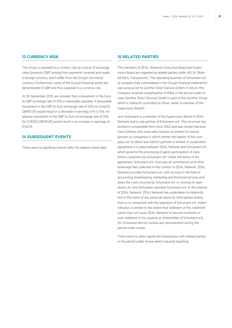### **13 Currency risk**

The Group is exposed to a currency risk as a result of exchange rates (primarily GBP) arising from payments received and made in foreign currency which differ from the Group's functional currency. Furthermore, some of the Group's financial assets are denominated in GBP and thus exposed to a currency risk.

At 30 September 2015, we consider that a movement in the Euro to GBP exchange rate of 10% is reasonably possible. A favourable movement in the GBP to Euro exchange rate of 10% (to 0.64672 GBP/EUR) would result in a decrease in earnings of €-1,776k. An adverse movement in the GBP to Euro of exchange rate of 10% (to 0.78253 GBP/EUR) would result in an increase in earnings of €1,647k.

### **14 Subsequent events**

There were no significant events after the balance sheet date.

### **15 Related parties**

The members of ZEAL Network's Executive Board and Supervisory Board are regarded as related parties under IAS 24 "Related Party Transactions". The operating business of Schumann e.K. (a company fully consolidated in the Group's financial statements) was outsourced to Günther Direct Service GmbH. In return, this company received compensation of €86k in the period under review. Günther Direct Services GmbH is part of the Günther Group which is indirectly controlled by Oliver Jaster (a member of the Supervisory Board).

Jens Schumann is a member of the Supervisory Board of ZEAL Network and is sole partner of Schumann e.K. This structure has existed in comparable form since 2002 and was chosen because class lotteries only issue sales licences at present to natural persons or companies in which neither the liability of the company nor its direct and indirect partners is limited. A cooperation agreement is in place between ZEAL Network and Schumann e.K., which governs the processing of game participation of class lottery customers by Schumann e.K. Under the terms of the agreement, Schumann e.K. must pay all commissions and other brokerage fees collected in this context to ZEAL Network. ZEAL Network provides Schumann e.K. with services in the field of accounting, bookkeeping, marketing and technical services and bears the costs incurred by Schumann e.K. in running its operations. As Jens Schumann operates Schumann e.K. in the interest of ZEAL Network, ZEAL Network has undertaken to indemnify him in the event of any personal claims by third parties arising from or in connection with the operation of Schumann e.K. Indemnification is limited to the extent that fulfilment of this indemnification may not cause ZEAL Network to become insolvent or over-indebted. In his capacity as shareholder of Schumann e.K., Mr. Schumann did not receive any remuneration during the period under review.

There were no other significant transactions with related parties in the period under review which required reporting.